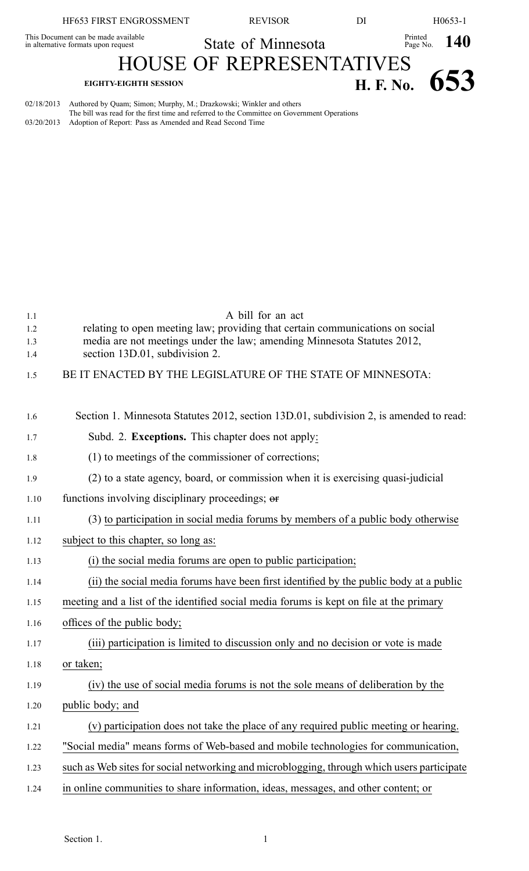| HF653 FIRST ENGROSSMENT                                                           | <b>REVISOR</b>                                                                              | DI            |                        | H0653-1 |
|-----------------------------------------------------------------------------------|---------------------------------------------------------------------------------------------|---------------|------------------------|---------|
| This Document can be made available<br>in alternative formats upon request        | State of Minnesota                                                                          |               | Printed Page No. $140$ |         |
|                                                                                   | <b>HOUSE OF REPRESENTATIVES</b>                                                             |               |                        |         |
| <b>EIGHTY-EIGHTH SESSION</b>                                                      |                                                                                             | H. F. No. 653 |                        |         |
| Authored by Quam; Simon; Murphy, M.; Drazkowski; Winkler and others<br>02/18/2013 | The bill was read for the first time and referred to the Committee on Government Operations |               |                        |         |

03/20/2013 Adoption of Report: Pass as Amended and Read Second Time

1.1 A bill for an act 1.2 relating to open meeting law; providing that certain communications on social 1.3 media are not meetings under the law; amending Minnesota Statutes 2012, 1.4 section 13D.01, subdivision 2. 1.5 BE IT ENACTED BY THE LEGISLATURE OF THE STATE OF MINNESOTA: 1.6 Section 1. Minnesota Statutes 2012, section 13D.01, subdivision 2, is amended to read: 1.7 Subd. 2. **Exceptions.** This chapter does not apply: 1.8 (1) to meetings of the commissioner of corrections; 1.9 (2) to <sup>a</sup> state agency, board, or commission when it is exercising quasi-judicial 1.10 functions involving disciplinary proceedings; or 1.11 (3) to participation in social media forums by members of <sup>a</sup> public body otherwise 1.12 subject to this chapter, so long as: 1.13 (i) the social media forums are open to public participation; 1.14 (ii) the social media forums have been first identified by the public body at <sup>a</sup> public 1.15 meeting and <sup>a</sup> list of the identified social media forums is kept on file at the primary 1.16 offices of the public body; 1.17 (iii) participation is limited to discussion only and no decision or vote is made 1.18 or taken; 1.19 (iv) the use of social media forums is not the sole means of deliberation by the 1.20 public body; and

1.21 (v) participation does not take the place of any required public meeting or hearing.

- 1.22 "Social media" means forms of Web-based and mobile technologies for communication,
- 1.23 such as Web sites for social networking and microblogging, through which users participate
- 1.24 in online communities to share information, ideas, messages, and other content; or